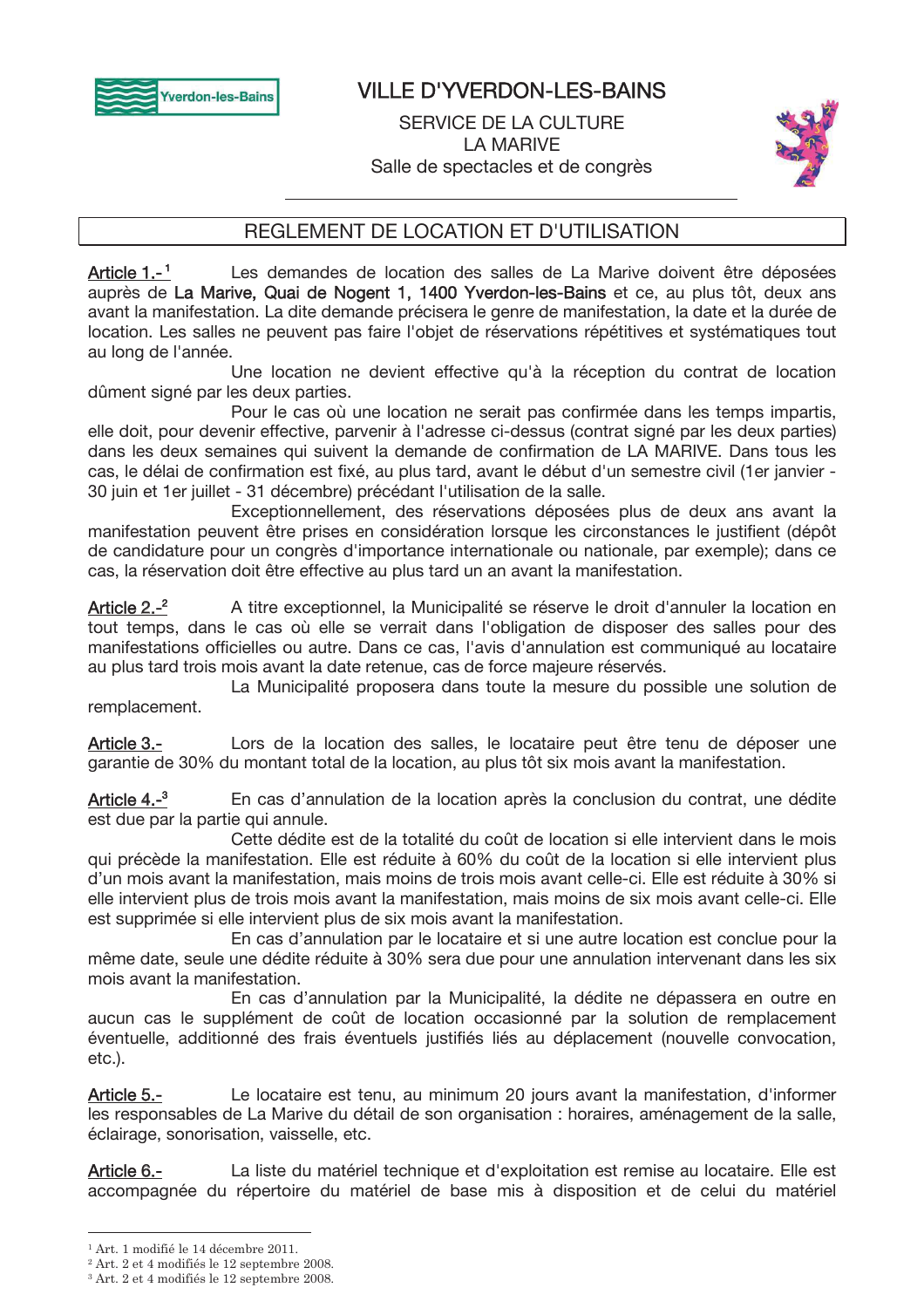

# **VILLE D'YVERDON-LES-BAINS**

**SERVICE DE LA CULTURE I A MARIVE** Salle de spectacles et de congrès



# REGLEMENT DE LOCATION ET D'UTILISATION

Article  $1.-1$ Les demandes de location des salles de La Marive doivent être déposées auprès de La Marive, Quai de Nogent 1, 1400 Yverdon-les-Bains et ce, au plus tôt, deux ans avant la manifestation. La dite demande précisera le genre de manifestation, la date et la durée de location. Les salles ne peuvent pas faire l'obiet de réservations répétitives et systématiques tout au long de l'année.

Une location ne devient effective qu'à la réception du contrat de location dûment signé par les deux parties.

Pour le cas où une location ne serait pas confirmée dans les temps impartis, elle doit, pour devenir effective, parvenir à l'adresse ci-dessus (contrat signé par les deux parties) dans les deux semaines qui suivent la demande de confirmation de LA MARIVE. Dans tous les cas, le délai de confirmation est fixé, au plus tard, avant le début d'un semestre civil (1er janvier -30 juin et 1 er juillet - 31 décembre) précédant l'utilisation de la salle.

Exceptionnellement, des réservations déposées plus de deux ans avant la manifestation peuvent être prises en considération lorsque les circonstances le justifient (dépôt de candidature pour un congrès d'importance internationale ou nationale, par exemple); dans ce cas. la réservation doit être effective au plus tard un an avant la manifestation.

Article  $2.-^2$ A titre exceptionnel, la Municipalité se réserve le droit d'annuler la location en tout temps, dans le cas où elle se verrait dans l'obligation de disposer des salles pour des manifestations officielles ou autre. Dans ce cas, l'avis d'annulation est communiqué au locataire au plus tard trois mois avant la date retenue, cas de force majeure réservés.

La Municipalité proposera dans toute la mesure du possible une solution de remplacement.

Lors de la location des salles, le locataire peut être tenu de déposer une Article 3.garantie de 30% du montant total de la location, au plus tôt six mois avant la manifestation.

Article  $4.-<sup>3</sup>$ En cas d'annulation de la location après la conclusion du contrat, une dédite est due par la partie qui annule.

Cette dédite est de la totalité du coût de location si elle intervient dans le mois qui précède la manifestation. Elle est réduite à 60% du coût de la location si elle intervient plus d'un mois avant la manifestation, mais moins de trois mois avant celle-ci. Elle est réduite à 30% si elle intervient plus de trois mois avant la manifestation, mais moins de six mois avant celle-ci. Elle est supprimée si elle intervient plus de six mois avant la manifestation.

En cas d'annulation par le locataire et si une autre location est conclue pour la même date, seule une dédite réduite à 30% sera due pour une annulation intervenant dans les six mois avant la manifestation.

En cas d'annulation par la Municipalité, la dédite ne dépassera en outre en aucun cas le supplément de coût de location occasionné par la solution de remplacement éventuelle, additionné des frais éventuels justifiés liés au déplacement (nouvelle convocation, etc.).

Article 5.-Le locataire est tenu, au minimum 20 jours avant la manifestation, d'informer les responsables de La Marive du détail de son organisation : horaires, aménagement de la salle, éclairage, sonorisation, vaisselle, etc.

La liste du matériel technique et d'exploitation est remise au locataire. Elle est Article 6.accompagnée du répertoire du matériel de base mis à disposition et de celui du matériel

 $1$  Art. 1 modifié le 14 décembre 2011.

<sup>&</sup>lt;sup>2</sup> Art. 2 et 4 modifiés le 12 septembre 2008.

<sup>&</sup>lt;sup>3</sup> Art. 2 et 4 modifiés le 12 septembre 2008.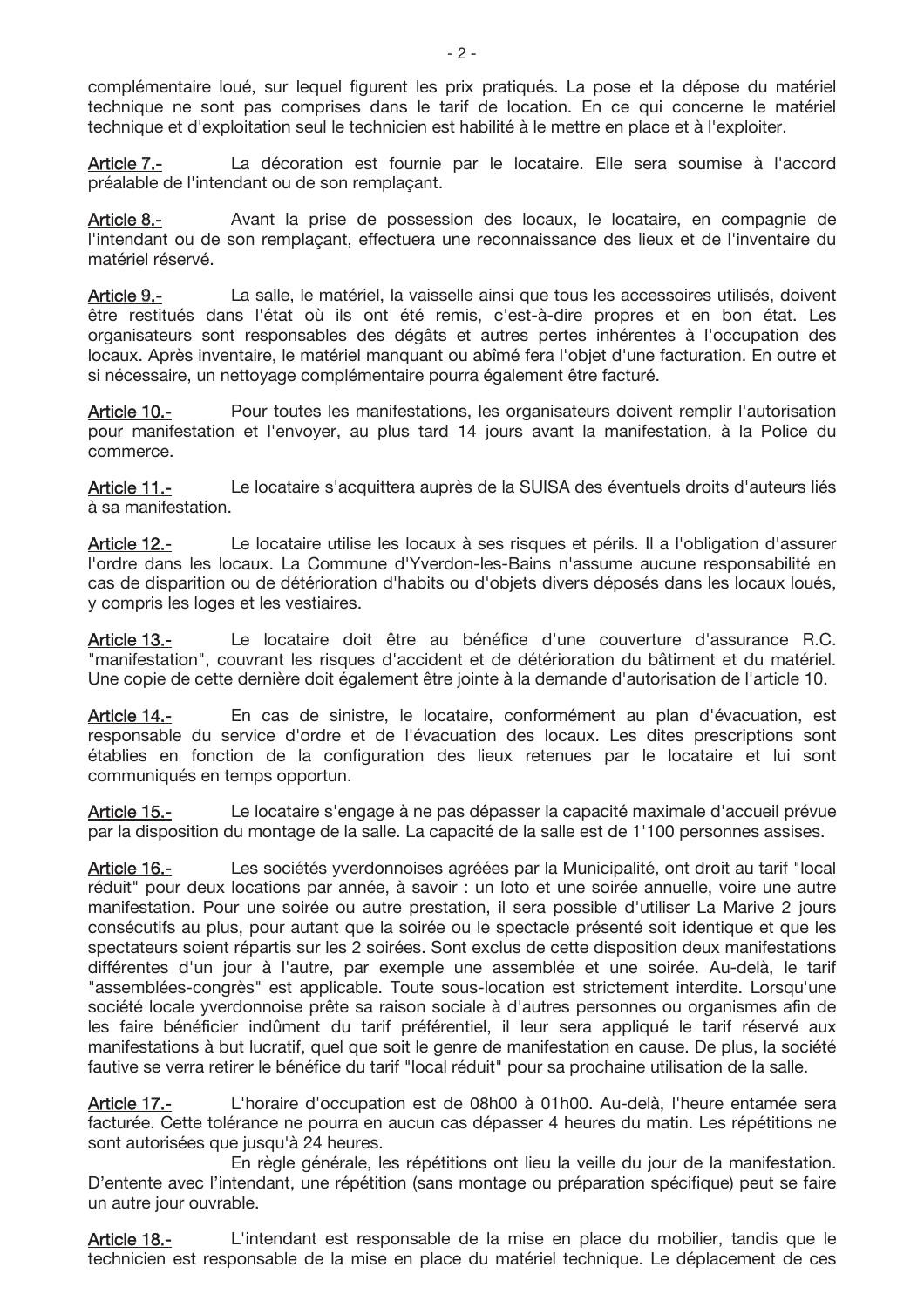complémentaire loué, sur lequel figurent les prix pratiqués. La pose et la dépose du matériel technique ne sont pas comprises dans le tarif de location. En ce qui concerne le matériel technique et d'exploitation seul le technicien est habilité à le mettre en place et à l'exploiter.

La décoration est fournie par le locataire. Elle sera soumise à l'accord Article 7.préalable de l'intendant ou de son remplaçant.

Avant la prise de possession des locaux, le locataire, en compagnie de Article 8.l'intendant ou de son remplaçant, effectuera une reconnaissance des lieux et de l'inventaire du matériel réservé.

Article 9.-La salle, le matériel, la vaisselle ainsi que tous les accessoires utilisés, doivent être restitués dans l'état où ils ont été remis, c'est-à-dire propres et en bon état. Les organisateurs sont responsables des dégâts et autres pertes inhérentes à l'occupation des locaux. Après inventaire, le matériel manquant ou abîmé fera l'objet d'une facturation. En outre et si nécessaire, un nettovage complémentaire pourra également être facturé.

Article 10.-Pour toutes les manifestations, les organisateurs doivent remplir l'autorisation pour manifestation et l'envoyer, au plus tard 14 jours avant la manifestation, à la Police du commerce.

Article 11.-Le locataire s'acquittera auprès de la SUISA des éventuels droits d'auteurs liés à sa manifestation.

Article 12.-Le locataire utilise les locaux à ses risques et périls. Il a l'obligation d'assurer l'ordre dans les locaux. La Commune d'Yverdon-les-Bains n'assume aucune responsabilité en cas de disparition ou de détérioration d'habits ou d'objets divers déposés dans les locaux loués, y compris les loges et les vestiaires.

Le locataire doit être au bénéfice d'une couverture d'assurance R.C. Article 13.-"manifestation", couvrant les risques d'accident et de détérioration du bâtiment et du matériel. Une copie de cette dernière doit également être jointe à la demande d'autorisation de l'article 10.

Article 14.-En cas de sinistre, le locataire, conformément au plan d'évacuation, est responsable du service d'ordre et de l'évacuation des locaux. Les dites prescriptions sont établies en fonction de la configuration des lieux retenues par le locataire et lui sont communiqués en temps opportun.

Le locataire s'engage à ne pas dépasser la capacité maximale d'accueil prévue Article 15.par la disposition du montage de la salle. La capacité de la salle est de 1'100 personnes assises.

Article 16.-Les sociétés yverdonnoises agréées par la Municipalité, ont droit au tarif "local réduit" pour deux locations par année, à savoir : un loto et une soirée annuelle, voire une autre manifestation. Pour une soirée ou autre prestation, il sera possible d'utiliser La Marive 2 jours consécutifs au plus, pour autant que la soirée ou le spectacle présenté soit identique et que les spectateurs soient répartis sur les 2 soirées. Sont exclus de cette disposition deux manifestations différentes d'un jour à l'autre, par exemple une assemblée et une soirée. Au-delà, le tarif "assemblées-congrès" est applicable. Toute sous-location est strictement interdite. Lorsqu'une société locale yverdonnoise prête sa raison sociale à d'autres personnes ou organismes afin de les faire bénéficier indûment du tarif préférentiel, il leur sera appliqué le tarif réservé aux manifestations à but lucratif, quel que soit le genre de manifestation en cause. De plus, la société fautive se verra retirer le bénéfice du tarif "local réduit" pour sa prochaine utilisation de la salle.

L'horaire d'occupation est de 08h00 à 01h00. Au-delà. l'heure entamée sera Article 17.facturée. Cette tolérance ne pourra en aucun cas dépasser 4 heures du matin. Les répétitions ne sont autorisées que jusqu'à 24 heures.

En règle générale, les répétitions ont lieu la veille du jour de la manifestation. D'entente avec l'intendant, une répétition (sans montage ou préparation spécifique) peut se faire un autre jour ouvrable.

L'intendant est responsable de la mise en place du mobilier, tandis que le Article 18.technicien est responsable de la mise en place du matériel technique. Le déplacement de ces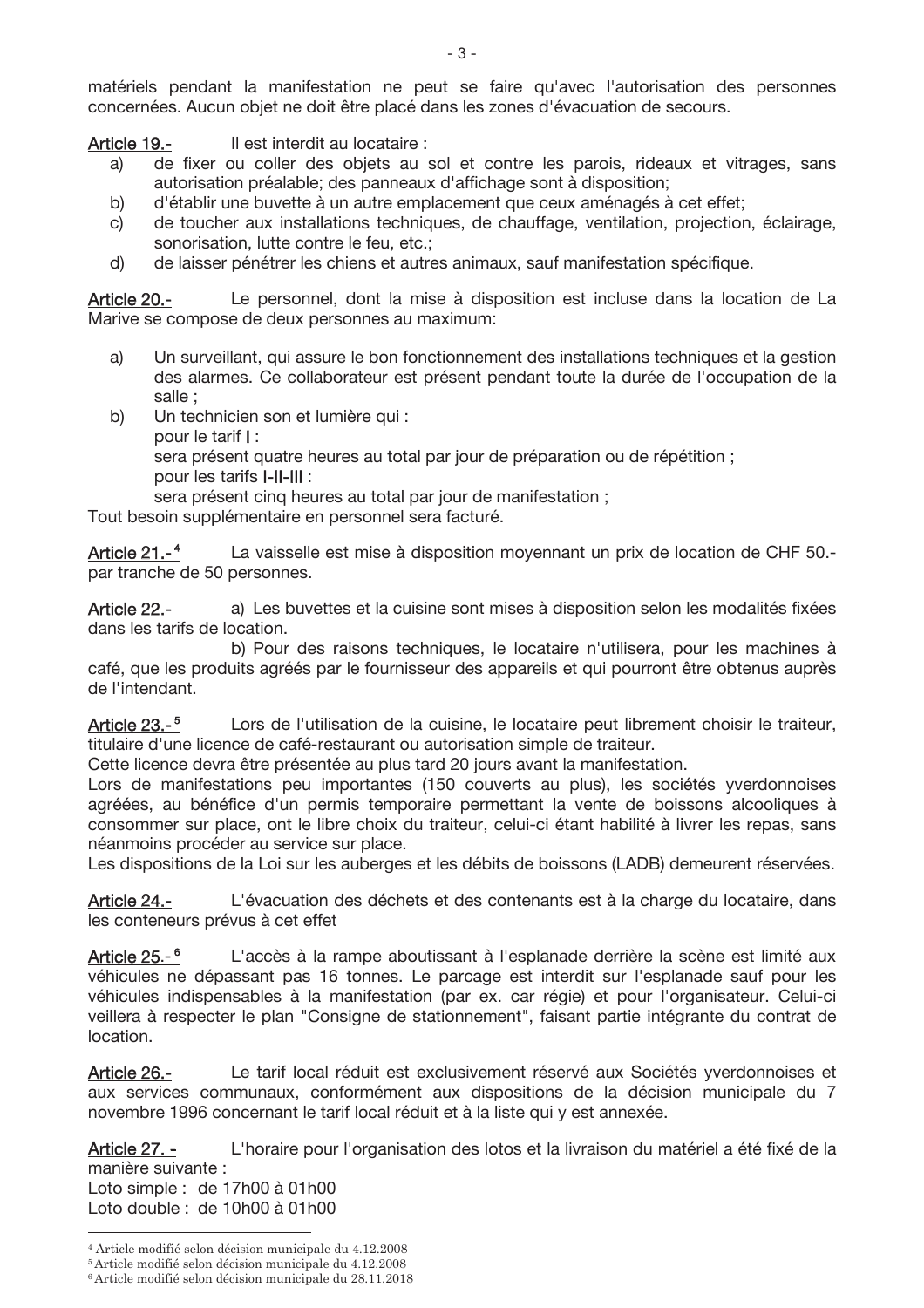matériels pendant la manifestation ne peut se faire qu'avec l'autorisation des personnes concernées. Aucun objet ne doit être placé dans les zones d'évacuation de secours.

Il est interdit au locataire : Article 19.-

- de fixer ou coller des objets au sol et contre les parois, rideaux et vitrages, sans a) autorisation préalable: des panneaux d'affichage sont à disposition:
- b) d'établir une buvette à un autre emplacement que ceux aménagés à cet effet;
- de toucher aux installations techniques, de chauffage, ventilation, projection, éclairage, C) sonorisation, lutte contre le feu, etc.;
- $d)$ de laisser pénétrer les chiens et autres animaux, sauf manifestation spécifique.

Le personnel, dont la mise à disposition est incluse dans la location de La Article 20.-Marive se compose de deux personnes au maximum:

- a) Un surveillant, qui assure le bon fonctionnement des installations techniques et la gestion des alarmes. Ce collaborateur est présent pendant toute la durée de l'occupation de la salle :
- Un technicien son et lumière qui : b) pour le tarif I : sera présent quatre heures au total par jour de préparation ou de répétition ; pour les tarifs I-II-III : sera présent cing heures au total par jour de manifestation :

Tout besoin supplémentaire en personnel sera facturé.

Article  $21.-4$ La vaisselle est mise à disposition moyennant un prix de location de CHF 50.par tranche de 50 personnes.

a) Les buvettes et la cuisine sont mises à disposition selon les modalités fixées Article 22.dans les tarifs de location.

b) Pour des raisons techniques, le locataire n'utilisera, pour les machines à café, que les produits agréés par le fournisseur des appareils et qui pourront être obtenus auprès de l'intendant.

Article 23.-<sup>5</sup> Lors de l'utilisation de la cuisine, le locataire peut librement choisir le traiteur, titulaire d'une licence de café-restaurant ou autorisation simple de traiteur.

Cette licence devra être présentée au plus tard 20 jours avant la manifestation.

Lors de manifestations peu importantes (150 couverts au plus), les sociétés yverdonnoises agréées, au bénéfice d'un permis temporaire permettant la vente de boissons alcooliques à consommer sur place, ont le libre choix du traiteur, celui-ci étant habilité à livrer les repas, sans néanmoins procéder au service sur place.

Les dispositions de la Loi sur les auberges et les débits de boissons (LADB) demeurent réservées.

L'évacuation des déchets et des contenants est à la charge du locataire, dans Article 24.les conteneurs prévus à cet effet

Article  $25-$ <sup>6</sup> L'accès à la rampe aboutissant à l'esplanade derrière la scène est limité aux véhicules ne dépassant pas 16 tonnes. Le parcage est interdit sur l'esplanade sauf pour les véhicules indispensables à la manifestation (par ex. car régie) et pour l'organisateur. Celui-ci veillera à respecter le plan "Consigne de stationnement", faisant partie intégrante du contrat de location.

Article 26.-Le tarif local réduit est exclusivement réservé aux Sociétés yverdonnoises et aux services communaux, conformément aux dispositions de la décision municipale du 7 novembre 1996 concernant le tarif local réduit et à la liste qui y est annexée.

L'horaire pour l'organisation des lotos et la livraison du matériel a été fixé de la Article 27. manière suivante :

Loto simple : de 17h00 à 01h00 Loto double: de 10h00 à 01h00

<sup>&</sup>lt;sup>4</sup> Article modifié selon décision municipale du 4.12.2008

<sup>&</sup>lt;sup>5</sup> Article modifié selon décision municipale du 4.12.2008

 $^{\rm 6}$  Article modifié selon décision municipale du 28.11.2018